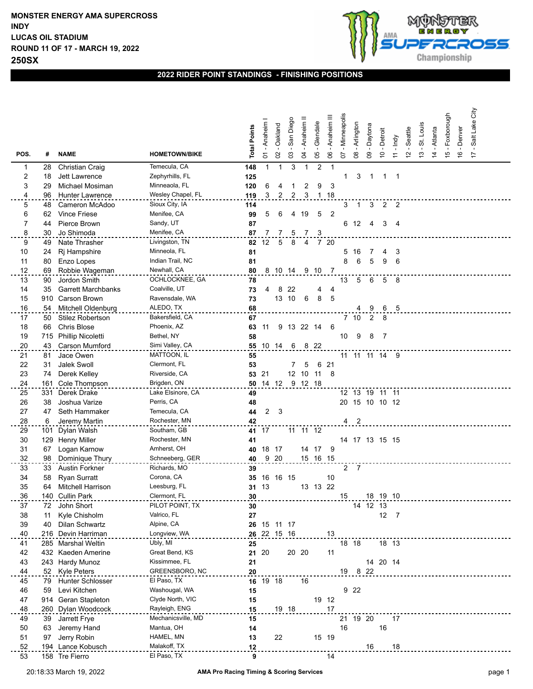

## **2022 RIDER POINT STANDINGS - FINISHING POSITIONS**

| POS. | #   | <b>NAME</b>               | <b>HOMETOWN/BIKE</b> | <b>Total Points</b> | - Anaheim<br>$\overline{\circ}$ | Oakland<br>$\mathsf{S}$ | San Diego<br>03 | - Anaheim<br>$\mathfrak{q}$ | Glendale<br>80 | Anaheim III<br>8 | - Minneapolis<br>5 | Arlington<br>$\infty$ | 09 - Daytona   | 10 - Detroit   | - Indy<br>$\overline{1}$ | -Seattle<br>$\tilde{c}$ | $13 - St.$ Louis | - Atlanta<br>$\overline{4}$ | 15 - Foxborough | -Denver<br>$\frac{6}{5}$ | Salt Lake City<br>$\overline{1}$ |  |
|------|-----|---------------------------|----------------------|---------------------|---------------------------------|-------------------------|-----------------|-----------------------------|----------------|------------------|--------------------|-----------------------|----------------|----------------|--------------------------|-------------------------|------------------|-----------------------------|-----------------|--------------------------|----------------------------------|--|
| 1    | 28  | <b>Christian Craig</b>    | Temecula, CA         | 148                 | $\mathbf{1}$                    | $\mathbf{1}$            | 3               | $\mathbf{1}$                | $\overline{2}$ | $\mathbf{1}$     |                    |                       |                |                |                          |                         |                  |                             |                 |                          |                                  |  |
| 2    | 18  | Jett Lawrence             | Zephyrhills, FL      | 125                 |                                 |                         |                 |                             |                |                  | 1                  | 3                     |                | 1              | -1                       |                         |                  |                             |                 |                          |                                  |  |
| 3    | 29  | Michael Mosiman           | Minneaola, FL        | 120                 | 6                               | 4                       | 1               | $\overline{c}$              | 9              | 3                |                    |                       |                |                |                          |                         |                  |                             |                 |                          |                                  |  |
| 4    | 96  | Hunter Lawrence           | Wesley Chapel, FL    | 119                 | 3                               | 2                       | 2               | 3                           |                | 1 18             |                    |                       |                |                |                          |                         |                  |                             |                 |                          |                                  |  |
| 5    | 48  | Cameron McAdoo            | Sioux City, IA       | 114                 |                                 |                         |                 |                             |                |                  | 3                  | $\overline{1}$        | 3              | $\overline{2}$ | $\overline{\phantom{a}}$ |                         |                  |                             |                 |                          |                                  |  |
| 6    | 62  | <b>Vince Friese</b>       | Menifee, CA          | 99                  | 5                               | 6                       | 4               | 19                          | 5              | $\overline{2}$   |                    |                       |                |                |                          |                         |                  |                             |                 |                          |                                  |  |
| 7    | 44  | Pierce Brown              | Sandy, UT            | 87                  |                                 |                         |                 |                             |                |                  | 6                  | 12                    | 4              | 3              | 4                        |                         |                  |                             |                 |                          |                                  |  |
| 8    | 30  | Jo Shimoda                | Menifee, CA          | 87                  |                                 | 7                       | 5               | 7                           | 3              |                  |                    |                       |                |                |                          |                         |                  |                             |                 |                          |                                  |  |
| 9    | 49  | Nate Thrasher             | Livingston, TN       | 82                  | 12                              | 5                       | 8               | $\overline{4}$              | 7 20           |                  |                    |                       |                |                |                          |                         |                  |                             |                 |                          |                                  |  |
| 10   | 24  | Rj Hampshire              | Minneola, FL         | 81                  |                                 |                         |                 |                             |                |                  | 5                  | 16                    | 7              | 4              | 3                        |                         |                  |                             |                 |                          |                                  |  |
| 11   | 80  | Enzo Lopes                | Indian Trail, NC     | 81                  |                                 |                         |                 |                             |                |                  | 8                  | 6                     | 5              | 9              | 6                        |                         |                  |                             |                 |                          |                                  |  |
| 12   | 69  | Robbie Wageman            | Newhall, CA          | 80                  |                                 | 8 10 14 9 10            |                 |                             |                | - 7              |                    |                       |                |                |                          |                         |                  |                             |                 |                          |                                  |  |
| 13   | 90  | Jordon Smith              | OCHLOCKNEE, GA       | 78                  |                                 |                         |                 |                             |                |                  | 13                 | 5                     | 6              | 5              | 8                        |                         |                  |                             |                 |                          |                                  |  |
| 14   | 35  | <b>Garrett Marchbanks</b> | Coalville, UT        | 73                  | 4                               | 8                       | 22              |                             | 4              | 4                |                    |                       |                |                |                          |                         |                  |                             |                 |                          |                                  |  |
| 15   | 910 | <b>Carson Brown</b>       | Ravensdale, WA       | 73                  |                                 |                         | 13 10           | 6                           | 8              | 5                |                    |                       |                |                |                          |                         |                  |                             |                 |                          |                                  |  |
| 16   | 54  | Mitchell Oldenburg        | ALEDO, TX            | 68                  |                                 |                         |                 |                             |                |                  |                    |                       | 9              | 6              | $-5$                     |                         |                  |                             |                 |                          |                                  |  |
| 17   | 50  | <b>Stilez Robertson</b>   | Bakersfield, CA      | 67                  |                                 |                         |                 |                             |                |                  |                    | 7 <sub>10</sub>       | $\overline{2}$ | -8             |                          |                         |                  |                             |                 |                          |                                  |  |
| 18   | 66  | <b>Chris Blose</b>        | Phoenix, AZ          | 63                  | 11                              | 9                       | 13              | 22                          | -14            | 6                |                    |                       |                |                |                          |                         |                  |                             |                 |                          |                                  |  |
| 19   | 715 | Phillip Nicoletti         | Bethel, NY           | 58                  |                                 |                         |                 |                             |                |                  | 10                 | 9                     | 8              | 7              |                          |                         |                  |                             |                 |                          |                                  |  |
| 20   | 43  | <b>Carson Mumford</b>     | Simi Valley, CA      |                     |                                 | 55 10 14                | 6               | 8 22                        |                |                  |                    |                       |                |                |                          |                         |                  |                             |                 |                          |                                  |  |
| 21   | 81  | Jace Owen                 | MATTOON, IL          | 55                  |                                 |                         |                 |                             |                |                  |                    |                       | 11 11 11 14    |                | - 9                      |                         |                  |                             |                 |                          |                                  |  |
| 22   | 31  | Jalek Swoll               | Clermont, FL         | 53                  |                                 |                         |                 | 5                           | 6              | 21               |                    |                       |                |                |                          |                         |                  |                             |                 |                          |                                  |  |
| 23   | 74  | Derek Kelley              | Riverside, CA        | 53                  | 21                              |                         |                 | 12 10                       | 11             | - 8              |                    |                       |                |                |                          |                         |                  |                             |                 |                          |                                  |  |
| 24   | 161 | Cole Thompson             | Brigden, ON          |                     |                                 | 50 14 12                |                 | 9 12 18                     |                |                  |                    |                       |                |                |                          |                         |                  |                             |                 |                          |                                  |  |
| 25   | 331 | Derek Drake               | Lake Elsinore, CA    | 49                  |                                 |                         |                 |                             |                |                  |                    |                       | 12 13 19 11 11 |                |                          |                         |                  |                             |                 |                          |                                  |  |
| 26   | 38  | Joshua Varize             | Perris, CA           | 48                  |                                 |                         |                 |                             |                |                  |                    |                       | 20 15 10 10 12 |                |                          |                         |                  |                             |                 |                          |                                  |  |
| 27   | 47  | Seth Hammaker             | Temecula, CA         | 44                  | 2                               | 3                       |                 |                             |                |                  |                    |                       |                |                |                          |                         |                  |                             |                 |                          |                                  |  |
| 28   | 6   | Jeremy Martin             | Rochester, MN        | 42                  |                                 |                         |                 |                             |                |                  | $\overline{4}$     | $^{2}$                |                |                |                          |                         |                  |                             |                 |                          |                                  |  |
| 29   | 101 | Dylan Walsh               | Southam, GB          |                     | 41 17                           |                         |                 | 11 11 12                    |                |                  |                    |                       |                |                |                          |                         |                  |                             |                 |                          |                                  |  |
| 30   | 129 | <b>Henry Miller</b>       | Rochester, MN        | 41                  |                                 |                         |                 |                             |                |                  |                    |                       | 14 17 13 15 15 |                |                          |                         |                  |                             |                 |                          |                                  |  |
| 31   | 67  | Logan Karnow              | Amherst, OH          | 40                  |                                 | 18 17                   |                 |                             | 14 17          | 9                |                    |                       |                |                |                          |                         |                  |                             |                 |                          |                                  |  |
| 32   | 98  | Dominique Thury           | Schneeberg, GER      | 40                  |                                 | 9 20                    |                 |                             | 15 16 15       |                  |                    |                       |                |                |                          |                         |                  |                             |                 |                          |                                  |  |
| 33   | 33  | <b>Austin Forkner</b>     | Richards, MO         | 39                  |                                 |                         |                 |                             |                |                  | $\overline{a}$     | 7                     |                |                |                          |                         |                  |                             |                 |                          |                                  |  |
| 34   | 58  | <b>Ryan Surratt</b>       | Corona, CA           | 35                  |                                 | 16 16 15                |                 |                             |                | 10               |                    |                       |                |                |                          |                         |                  |                             |                 |                          |                                  |  |
| 35   | 64  | <b>Mitchell Harrison</b>  | Leesburg, FL         | 31                  | 13                              |                         |                 |                             | 13 13 22       |                  |                    |                       |                |                |                          |                         |                  |                             |                 |                          |                                  |  |
| 36   | 140 | <b>Cullin Park</b>        | Clermont, FL         | 30                  |                                 |                         |                 |                             |                |                  | 15                 |                       |                | 18 19 10       |                          |                         |                  |                             |                 |                          |                                  |  |
| 37   |     | 72 John Short             | PILOT POINT, TX      | 30                  |                                 |                         |                 |                             |                |                  |                    |                       | 14 12 13       |                |                          |                         |                  |                             |                 |                          |                                  |  |
| 38   | 11  | Kyle Chisholm             | Valrico, FL          | 27                  |                                 |                         |                 |                             |                |                  |                    |                       |                |                | $12 \quad 7$             |                         |                  |                             |                 |                          |                                  |  |
| 39   | 40  | Dilan Schwartz            | Alpine, CA           |                     |                                 | 26 15 11 17             |                 |                             |                |                  |                    |                       |                |                |                          |                         |                  |                             |                 |                          |                                  |  |
| 40   |     | 216 Devin Harriman        | Longview, WA         |                     |                                 | 26 22 15 16             |                 |                             |                | 13               |                    |                       |                |                |                          |                         |                  |                             |                 |                          |                                  |  |
| 41   |     | 285 Marshal Weltin        | Ubly, MI             | 25                  |                                 |                         |                 |                             |                |                  | 18 18              |                       |                | 18 13          |                          |                         |                  |                             |                 |                          |                                  |  |
| 42   |     | 432 Kaeden Amerine        | Great Bend, KS       | 21                  | 20                              |                         | 20 20           |                             |                | 11               |                    |                       |                |                |                          |                         |                  |                             |                 |                          |                                  |  |
| 43   |     | 243 Hardy Munoz           | Kissimmee, FL        | 21                  |                                 |                         |                 |                             |                |                  |                    |                       |                | 14 20 14       |                          |                         |                  |                             |                 |                          |                                  |  |
| 44   |     | 52 Kyle Peters            | GREENSBORO, NC       | 20                  |                                 |                         |                 |                             |                |                  |                    | 19 8 22               |                |                |                          |                         |                  |                             |                 |                          |                                  |  |
| 45   | 79  | <b>Hunter Schlosser</b>   | El Paso, TX          | 16                  |                                 | 19 18                   |                 | 16                          |                |                  |                    |                       |                |                |                          |                         |                  |                             |                 |                          |                                  |  |
| 46   | 59  | Levi Kitchen              | Washougal, WA        | 15                  |                                 |                         |                 |                             |                |                  |                    | 9 22                  |                |                |                          |                         |                  |                             |                 |                          |                                  |  |
| 47   | 914 | Geran Stapleton           | Clyde North, VIC     | 15                  |                                 |                         |                 |                             |                | 19 12            |                    |                       |                |                |                          |                         |                  |                             |                 |                          |                                  |  |
| 48   |     | 260 Dylan Woodcock        | Rayleigh, ENG        | 15                  |                                 |                         | 19 18           |                             |                | 17               |                    |                       |                |                |                          |                         |                  |                             |                 |                          |                                  |  |
| 49   | 39  | Jarrett Frye              | Mechanicsville, MD   | 15                  |                                 |                         |                 |                             |                |                  |                    | 21 19 20              |                |                | 17                       |                         |                  |                             |                 |                          |                                  |  |
| 50   | 63  | Jeremy Hand               | Mantua, OH           | 14                  |                                 |                         |                 |                             |                |                  | 16                 |                       |                | $16\,$         |                          |                         |                  |                             |                 |                          |                                  |  |
| 51   | 97  | Jerry Robin               | HAMEL, MN            | 13                  |                                 | 22                      |                 |                             |                | 15 19            |                    |                       |                |                |                          |                         |                  |                             |                 |                          |                                  |  |
| 52   |     | 194 Lance Kobusch         | Malakoff, TX         | 12                  |                                 |                         |                 |                             |                |                  |                    |                       | 16             |                | 18                       |                         |                  |                             |                 |                          |                                  |  |
| 53   |     | 158 Tre Fierro            | El Paso, TX          | 9                   |                                 |                         |                 |                             |                | 14               |                    |                       |                |                |                          |                         |                  |                             |                 |                          |                                  |  |
|      |     |                           |                      |                     |                                 |                         |                 |                             |                |                  |                    |                       |                |                |                          |                         |                  |                             |                 |                          |                                  |  |